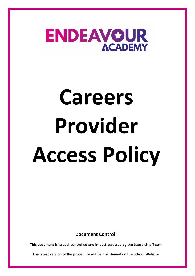

# **Careers Provider Access Policy**

**Document Control**

**This document is issued, controlled and impact assessed by the Leadership Team.** 

**The latest version of the procedure will be maintained on the School Website.**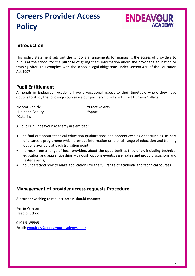## **Careers Provider Access Policy**



### **Introduction**

This policy statement sets out the school's arrangements for managing the access of providers to pupils at the school for the purpose of giving them information about the provider's education or training offer. This complies with the school's legal obligations under Section 42B of the Education Act 1997.

#### **Pupil Entitlement**

All pupils in Endeavour Academy have a vocational aspect to their timetable where they have options to study the following courses via our partnership links with East Durham College:

\*Hair and Beauty \*Sport

\*Motor Vehicle \*Creative Arts

\*Catering

All pupils in Endeavour Academy are entitled:

- to find out about technical education qualifications and apprenticeships opportunities, as part of a careers programme which provides information on the full range of education and training options available at each transition point;
- to hear from a range of local providers about the opportunities they offer, including technical education and apprenticeships – through options events, assemblies and group discussions and taster events;
- to understand how to make applications for the full range of academic and technical courses.

#### **Management of provider access requests Procedure**

A provider wishing to request access should contact;

Kerrie Whelan Head of School

0191 5185595 Email: [enquiries@endeavouracademy.co.uk](mailto:enquiries@endeavouracademy.co.uk)